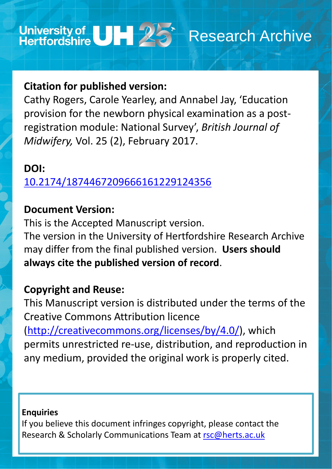

# **Citation for published version:**

Cathy Rogers, Carole Yearley, and Annabel Jay, 'Education provision for the newborn physical examination as a postregistration module: National Survey', *British Journal of Midwifery,* Vol. 25 (2), February 2017.

## **DOI:**

[10.2174/1874467209666161229124356](http://www.eurekaselect.com/148786/article)

## **Document Version:**

This is the Accepted Manuscript version. The version in the University of Hertfordshire Research Archive may differ from the final published version. **Users should always cite the published version of record**.

# **Copyright and Reuse:**

This Manuscript version is distributed under the terms of the Creative Commons Attribution licence [\(http://creativecommons.org/licenses/by/4.0/](http://creativecommons.org/licenses/by/4.0/)), which permits unrestricted re-use, distribution, and reproduction in

## any medium, provided the original work is properly cited.

## **Enquiries**

## If you believe this document infringes copyright, please contact the Research & Scholarly Communications Team at [rsc@herts.ac.uk](mailto:rsc@herts.ac.uk)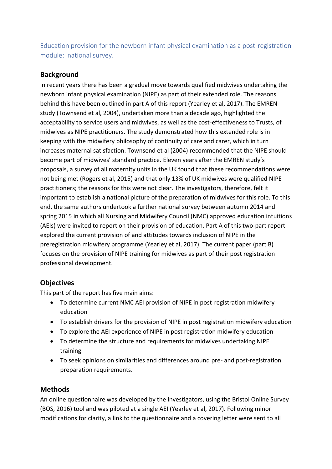Education provision for the newborn infant physical examination as a post-registration module: national survey.

## **Background**

In recent years there has been a gradual move towards qualified midwives undertaking the newborn infant physical examination (NIPE) as part of their extended role. The reasons behind this have been outlined in part A of this report (Yearley et al, 2017). The EMREN study (Townsend et al, 2004), undertaken more than a decade ago, highlighted the acceptability to service users and midwives, as well as the cost-effectiveness to Trusts, of midwives as NIPE practitioners. The study demonstrated how this extended role is in keeping with the midwifery philosophy of continuity of care and carer, which in turn increases maternal satisfaction. Townsend et al (2004) recommended that the NIPE should become part of midwives' standard practice. Eleven years after the EMREN study's proposals, a survey of all maternity units in the UK found that these recommendations were not being met (Rogers et al, 2015) and that only 13% of UK midwives were qualified NIPE practitioners; the reasons for this were not clear. The investigators, therefore, felt it important to establish a national picture of the preparation of midwives for this role. To this end, the same authors undertook a further national survey between autumn 2014 and spring 2015 in which all Nursing and Midwifery Council (NMC) approved education intuitions (AEIs) were invited to report on their provision of education. Part A of this two-part report explored the current provision of and attitudes towards inclusion of NIPE in the preregistration midwifery programme (Yearley et al, 2017). The current paper (part B) focuses on the provision of NIPE training for midwives as part of their post registration professional development.

## **Objectives**

This part of the report has five main aims:

- To determine current NMC AEI provision of NIPE in post-registration midwifery education
- To establish drivers for the provision of NIPE in post registration midwifery education
- To explore the AEI experience of NIPE in post registration midwifery education
- To determine the structure and requirements for midwives undertaking NIPE training
- To seek opinions on similarities and differences around pre- and post-registration preparation requirements.

## **Methods**

An online questionnaire was developed by the investigators, using the Bristol Online Survey (BOS, 2016) tool and was piloted at a single AEI (Yearley et al, 2017). Following minor modifications for clarity, a link to the questionnaire and a covering letter were sent to all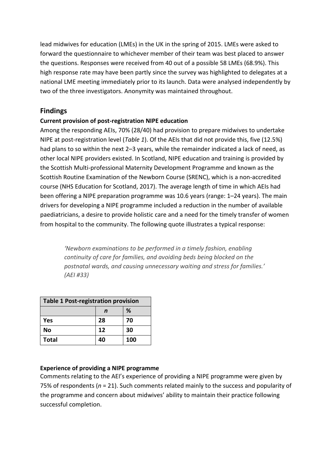lead midwives for education (LMEs) in the UK in the spring of 2015. LMEs were asked to forward the questionnaire to whichever member of their team was best placed to answer the questions. Responses were received from 40 out of a possible 58 LMEs (68.9%). This high response rate may have been partly since the survey was highlighted to delegates at a national LME meeting immediately prior to its launch. Data were analysed independently by two of the three investigators. Anonymity was maintained throughout.

## **Findings**

### **Current provision of post-registration NIPE education**

Among the responding AEIs, 70% (28/40) had provision to prepare midwives to undertake NIPE at post-registration level (*Table 1*). Of the AEIs that did not provide this, five (12.5%) had plans to so within the next 2-3 years, while the remainder indicated a lack of need, as other local NIPE providers existed. In Scotland, NIPE education and training is provided by the Scottish Multi-professional Maternity Development Programme and known as the Scottish Routine Examination of the Newborn Course (SRENC), which is a non-accredited course (NHS Education for Scotland, 2017). The average length of time in which AEIs had been offering a NIPE preparation programme was 10.6 years (range: 1–24 years). The main drivers for developing a NIPE programme included a reduction in the number of available paediatricians, a desire to provide holistic care and a need for the timely transfer of women from hospital to the community. The following quote illustrates a typical response:

*'Newborn examinations to be performed in a timely fashion, enabling continuity of care for families, and avoiding beds being blocked on the postnatal wards, and causing unnecessary waiting and stress for families.' (AEI #33)*

| <b>Table 1 Post-registration provision</b> |    |     |
|--------------------------------------------|----|-----|
|                                            | n  | ℅   |
| Yes                                        | 28 | 70  |
| No                                         | 12 | 30  |
| <b>Total</b>                               | 40 | 100 |

### **Experience of providing a NIPE programme**

Comments relating to the AEI's experience of providing a NIPE programme were given by 75% of respondents (*n* = 21). Such comments related mainly to the success and popularity of the programme and concern about midwives' ability to maintain their practice following successful completion.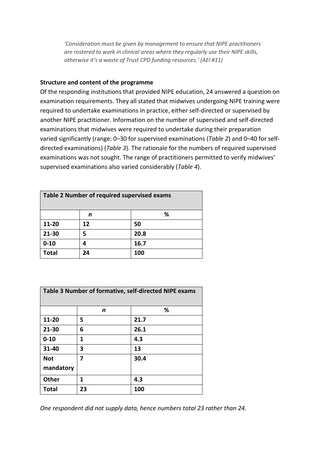*'Consideration must be given by management to ensure that NIPE practitioners are rostered to work in clinical areas where they regularly use their NIPE skills, otherwise it's a waste of Trust CPD funding resources.' (AEI #11)*

#### **Structure and content of the programme**

Of the responding institutions that provided NIPE education, 24 answered a question on examination requirements. They all stated that midwives undergoing NIPE training were required to undertake examinations in practice, either self-directed or supervised by another NIPE practitioner. Information on the number of supervised and self-directed examinations that midwives were required to undertake during their preparation varied significantly (range: 0–30 for supervised examinations (*Table 2*) and 0–40 for selfdirected examinations) (*Table 3*). The rationale for the numbers of required supervised examinations was not sought. The range of practitioners permitted to verify midwives' supervised examinations also varied considerably (*Table 4*).

| Table 2 Number of required supervised exams |    |      |
|---------------------------------------------|----|------|
|                                             | n  | %    |
| 11-20                                       | 12 | 50   |
| 21-30                                       | 5  | 20.8 |
| $0 - 10$                                    | 4  | 16.7 |
| <b>Total</b>                                | 24 | 100  |

| Table 3 Number of formative, self-directed NIPE exams |    |      |  |
|-------------------------------------------------------|----|------|--|
|                                                       | n  | %    |  |
| 11-20                                                 | 5  | 21.7 |  |
| 21-30                                                 | 6  | 26.1 |  |
| $0 - 10$                                              | 1  | 4.3  |  |
| 31-40                                                 | 3  | 13   |  |
| <b>Not</b><br>mandatory                               | 7  | 30.4 |  |
| <b>Other</b>                                          | 1  | 4.3  |  |
| <b>Total</b>                                          | 23 | 100  |  |

*One respondent did not supply data, hence numbers total 23 rather than 24.*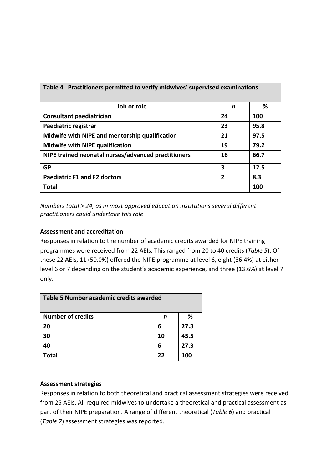| Table 4 Practitioners permitted to verify midwives' supervised examinations |                |      |
|-----------------------------------------------------------------------------|----------------|------|
| Job or role                                                                 | n              | %    |
| <b>Consultant paediatrician</b>                                             | 24             | 100  |
| Paediatric registrar                                                        | 23             | 95.8 |
| Midwife with NIPE and mentorship qualification                              | 21             | 97.5 |
| <b>Midwife with NIPE qualification</b>                                      | 19             | 79.2 |
| NIPE trained neonatal nurses/advanced practitioners                         | 16             | 66.7 |
| <b>GP</b>                                                                   | 3              | 12.5 |
| <b>Paediatric F1 and F2 doctors</b>                                         | $\overline{2}$ | 8.3  |
| <b>Total</b>                                                                |                | 100  |

*Numbers total > 24, as in most approved education institutions several different practitioners could undertake this role*

### **Assessment and accreditation**

Responses in relation to the number of academic credits awarded for NIPE training programmes were received from 22 AEIs. This ranged from 20 to 40 credits (*Table 5*). Of these 22 AEIs, 11 (50.0%) offered the NIPE programme at level 6, eight (36.4%) at either level 6 or 7 depending on the student's academic experience, and three (13.6%) at level 7 only.

| Table 5 Number academic credits awarded |    |      |  |
|-----------------------------------------|----|------|--|
| <b>Number of credits</b>                | n  | %    |  |
| 20                                      | 6  | 27.3 |  |
| 30                                      | 10 | 45.5 |  |
| 40                                      | 6  | 27.3 |  |
| <b>Total</b>                            | 22 | 100  |  |

### **Assessment strategies**

Responses in relation to both theoretical and practical assessment strategies were received from 25 AEIs. All required midwives to undertake a theoretical and practical assessment as part of their NIPE preparation. A range of different theoretical (*Table 6*) and practical (*Table 7*) assessment strategies was reported.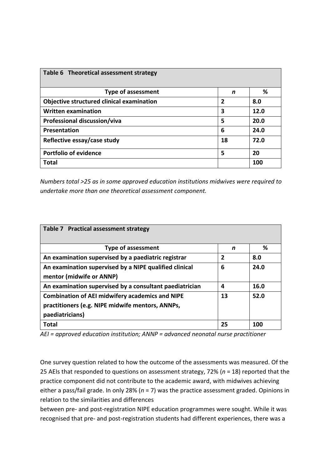| Table 6 Theoretical assessment strategy   |    |      |
|-------------------------------------------|----|------|
| <b>Type of assessment</b>                 | n  | ℅    |
| Objective structured clinical examination | 2  | 8.0  |
| <b>Written examination</b>                | 3  | 12.0 |
| Professional discussion/viva              | 5  | 20.0 |
| Presentation                              | 6  | 24.0 |
| Reflective essay/case study               | 18 | 72.0 |
| <b>Portfolio of evidence</b>              | 5  | 20   |
| <b>Total</b>                              |    | 100  |

*Numbers total ˃25 as in some approved education institutions midwives were required to undertake more than one theoretical assessment component.*

| Table 7 Practical assessment strategy                   |                |      |
|---------------------------------------------------------|----------------|------|
| <b>Type of assessment</b>                               | n              | ℅    |
| An examination supervised by a paediatric registrar     | $\overline{2}$ | 8.0  |
| An examination supervised by a NIPE qualified clinical  | 6              | 24.0 |
| mentor (midwife or ANNP)                                |                |      |
| An examination supervised by a consultant paediatrician | 4              | 16.0 |
| <b>Combination of AEI midwifery academics and NIPE</b>  | 13             | 52.0 |
| practitioners (e.g. NIPE midwife mentors, ANNPs,        |                |      |
| paediatricians)                                         |                |      |
| Total                                                   | 25             | 100  |

*AEI = approved education institution; ANNP = advanced neonatal nurse practitioner*

One survey question related to how the outcome of the assessments was measured. Of the 25 AEIs that responded to questions on assessment strategy, 72% (*n* = 18) reported that the practice component did not contribute to the academic award, with midwives achieving either a pass/fail grade. In only 28% (*n* = 7) was the practice assessment graded. Opinions in relation to the similarities and differences

between pre- and post-registration NIPE education programmes were sought. While it was recognised that pre- and post-registration students had different experiences, there was a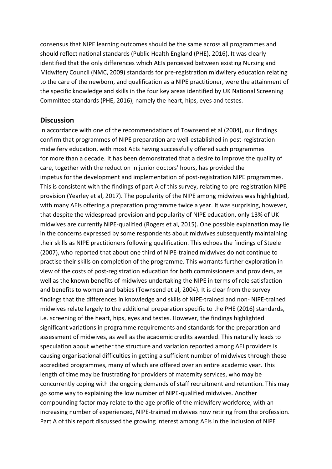consensus that NIPE learning outcomes should be the same across all programmes and should reflect national standards (Public Health England (PHE), 2016). It was clearly identified that the only differences which AEIs perceived between existing Nursing and Midwifery Council (NMC, 2009) standards for pre-registration midwifery education relating to the care of the newborn, and qualification as a NIPE practitioner, were the attainment of the specific knowledge and skills in the four key areas identified by UK National Screening Committee standards (PHE, 2016), namely the heart, hips, eyes and testes.

#### **Discussion**

In accordance with one of the recommendations of Townsend et al (2004), our findings confirm that programmes of NIPE preparation are well-established in post-registration midwifery education, with most AEIs having successfully offered such programmes for more than a decade. It has been demonstrated that a desire to improve the quality of care, together with the reduction in junior doctors' hours, has provided the impetus for the development and implementation of post-registration NIPE programmes. This is consistent with the findings of part A of this survey, relating to pre-registration NIPE provision (Yearley et al, 2017). The popularity of the NIPE among midwives was highlighted, with many AEIs offering a preparation programme twice a year. It was surprising, however, that despite the widespread provision and popularity of NIPE education, only 13% of UK midwives are currently NIPE-qualified (Rogers et al, 2015). One possible explanation may lie in the concerns expressed by some respondents about midwives subsequently maintaining their skills as NIPE practitioners following qualification. This echoes the findings of Steele (2007), who reported that about one third of NIPE-trained midwives do not continue to practise their skills on completion of the programme. This warrants further exploration in view of the costs of post-registration education for both commissioners and providers, as well as the known benefits of midwives undertaking the NIPE in terms of role satisfaction and benefits to women and babies (Townsend et al, 2004). It is clear from the survey findings that the differences in knowledge and skills of NIPE-trained and non- NIPE-trained midwives relate largely to the additional preparation specific to the PHE (2016) standards, i.e. screening of the heart, hips, eyes and testes. However, the findings highlighted significant variations in programme requirements and standards for the preparation and assessment of midwives, as well as the academic credits awarded. This naturally leads to speculation about whether the structure and variation reported among AEI providers is causing organisational difficulties in getting a sufficient number of midwives through these accredited programmes, many of which are offered over an entire academic year. This length of time may be frustrating for providers of maternity services, who may be concurrently coping with the ongoing demands of staff recruitment and retention. This may go some way to explaining the low number of NIPE-qualified midwives. Another compounding factor may relate to the age profile of the midwifery workforce, with an increasing number of experienced, NIPE-trained midwives now retiring from the profession. Part A of this report discussed the growing interest among AEIs in the inclusion of NIPE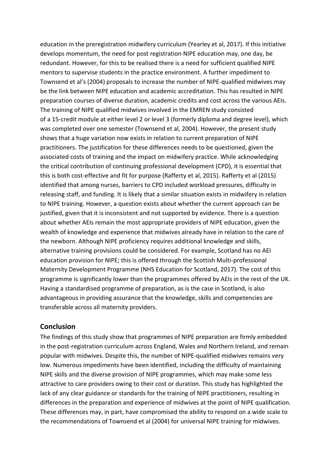education in the preregistration midwifery curriculum (Yearley et al, 2017). If this initiative develops momentum, the need for post registration NIPE education may, one day, be redundant. However, for this to be realised there is a need for sufficient qualified NIPE mentors to supervise students in the practice environment. A further impediment to Townsend et al's (2004) proposals to increase the number of NIPE-qualified midwives may be the link between NIPE education and academic accreditation. This has resulted in NIPE preparation courses of diverse duration, academic credits and cost across the various AEIs. The training of NIPE qualified midwives involved in the EMREN study consisted of a 15-credit module at either level 2 or level 3 (formerly diploma and degree level), which was completed over one semester (Townsend et al, 2004). However, the present study shows that a huge variation now exists in relation to current preparation of NIPE practitioners. The justification for these differences needs to be questioned, given the associated costs of training and the impact on midwifery practice. While acknowledging the critical contribution of continuing professional development (CPD), it is essential that this is both cost-effective and fit for purpose (Rafferty et al, 2015). Rafferty et al (2015) identified that among nurses, barriers to CPD included workload pressures, difficulty in releasing staff, and funding. It is likely that a similar situation exists in midwifery in relation to NIPE training. However, a question exists about whether the current approach can be justified, given that it is inconsistent and not supported by evidence. There is a question about whether AEIs remain the most appropriate providers of NIPE education, given the wealth of knowledge and experience that midwives already have in relation to the care of the newborn. Although NIPE proficiency requires additional knowledge and skills, alternative training provisions could be considered. For example, Scotland has no AEI education provision for NIPE; this is offered through the Scottish Multi-professional Maternity Development Programme (NHS Education for Scotland, 2017). The cost of this programme is significantly lower than the programmes offered by AEIs in the rest of the UK. Having a standardised programme of preparation, as is the case in Scotland, is also advantageous in providing assurance that the knowledge, skills and competencies are transferable across all maternity providers.

### **Conclusion**

The findings of this study show that programmes of NIPE preparation are firmly embedded in the post-registration curriculum across England, Wales and Northern Ireland, and remain popular with midwives. Despite this, the number of NIPE-qualified midwives remains very low. Numerous impediments have been identified, including the difficulty of maintaining NIPE skills and the diverse provision of NIPE programmes, which may make some less attractive to care providers owing to their cost or duration. This study has highlighted the lack of any clear guidance or standards for the training of NIPE practitioners, resulting in differences in the preparation and experience of midwives at the point of NIPE qualification. These differences may, in part, have compromised the ability to respond on a wide scale to the recommendations of Townsend et al (2004) for universal NIPE training for midwives.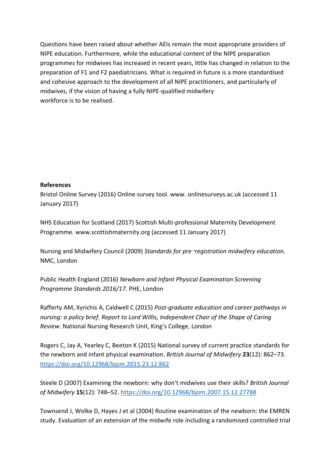Questions have been raised about whether AEIs remain the most appropriate providers of NIPE education. Furthermore, while the educational content of the NIPE preparation programmes for midwives has increased in recent years, little has changed in relation to the preparation of F1 and F2 paediatricians. What is required in future is a more standardised and cohesive approach to the development of all NIPE practitioners, and particularly of midwives, if the vision of having a fully NIPE-qualified midwifery workforce is to be realised.

#### **References**

Bristol Online Survey (2016) Online survey tool. www. onlinesurveys.ac.uk (accessed 11 January 2017)

NHS Education for Scotland (2017) Scottish Multi-professional Maternity Development Programme. www.scottishmaternity.org (accessed 11 January 2017)

Nursing and Midwifery Council (2009) *Standards for pre*‑*registration midwifery education*. NMC, London

Public Health England (2016) *Newborn and Infant Physical Examination Screening Programme Standards 2016/17*. PHE, London

Rafferty AM, Xyrichis A, Caldwell C (2015) *Post-graduate education and career pathways in nursing: a policy brief. Report to Lord Willis, Independent Chair of the Shape of Caring Review*. National Nursing Research Unit, King's College, London

Rogers C, Jay A, Yearley C, Beeton K (2015) National survey of current practice standards for the newborn and infant physical examination. *British Journal of Midwifery* **23**(12): 862–73. <https://doi.org/10.12968/bjom.2015.23.12.862>

Steele D (2007) Examining the newborn: why don't midwives use their skills? *British Journal of Midwifery* **15**(12): 748–52.<https://doi.org/10.12968/bjom.2007.15.12.27788>

Townsend J, Wolke D, Hayes J et al (2004) Routine examination of the newborn: the EMREN study. Evaluation of an extension of the midwife role including a randomised controlled trial